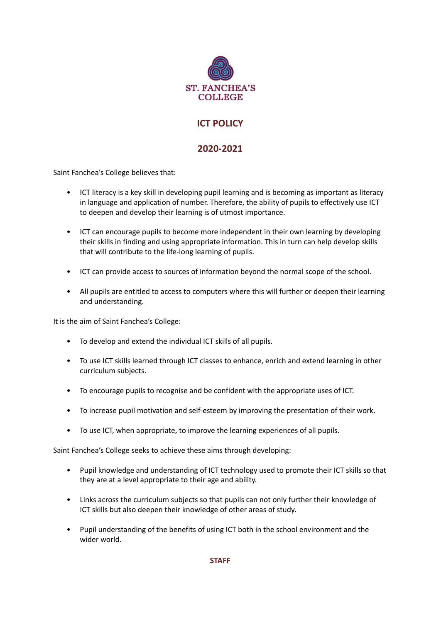

# **ICT POLICY**

# **2020-2021**

Saint Fanchea's College believes that:

- ICT literacy is a key skill in developing pupil learning and is becoming as important as literacy in language and application of number. Therefore, the ability of pupils to effectively use ICT to deepen and develop their learning is of utmost importance.
- ICT can encourage pupils to become more independent in their own learning by developing their skills in finding and using appropriate information. This in turn can help develop skills that will contribute to the life-long learning of pupils.
- ICT can provide access to sources of information beyond the normal scope of the school.
- All pupils are entitled to access to computers where this will further or deepen their learning and understanding.

It is the aim of Saint Fanchea's College:

- To develop and extend the individual ICT skills of all pupils.
- To use ICT skills learned through ICT classes to enhance, enrich and extend learning in other curriculum subjects.
- To encourage pupils to recognise and be confident with the appropriate uses of ICT.
- To increase pupil motivation and self-esteem by improving the presentation of their work.
- To use ICT, when appropriate, to improve the learning experiences of all pupils.

Saint Fanchea's College seeks to achieve these aims through developing:

- Pupil knowledge and understanding of ICT technology used to promote their ICT skills so that they are at a level appropriate to their age and ability.
- Links across the curriculum subjects so that pupils can not only further their knowledge of ICT skills but also deepen their knowledge of other areas of study.
- Pupil understanding of the benefits of using ICT both in the school environment and the wider world.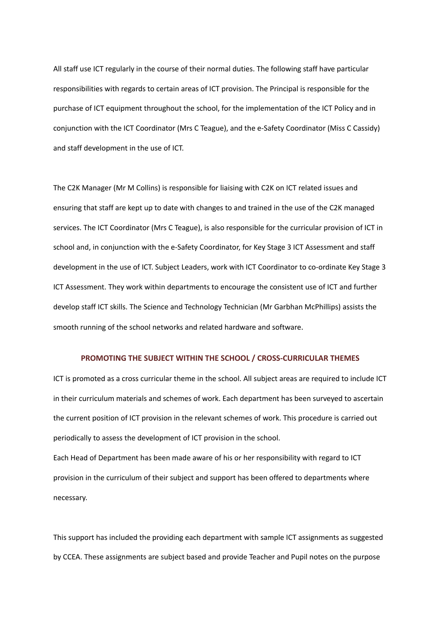All staff use ICT regularly in the course of their normal duties. The following staff have particular responsibilities with regards to certain areas of ICT provision. The Principal is responsible for the purchase of ICT equipment throughout the school, for the implementation of the ICT Policy and in conjunction with the ICT Coordinator (Mrs C Teague), and the e-Safety Coordinator (Miss C Cassidy) and staff development in the use of ICT.

The C2K Manager (Mr M Collins) is responsible for liaising with C2K on ICT related issues and ensuring that staff are kept up to date with changes to and trained in the use of the C2K managed services. The ICT Coordinator (Mrs C Teague), is also responsible for the curricular provision of ICT in school and, in conjunction with the e-Safety Coordinator, for Key Stage 3 ICT Assessment and staff development in the use of ICT. Subject Leaders, work with ICT Coordinator to co-ordinate Key Stage 3 ICT Assessment. They work within departments to encourage the consistent use of ICT and further develop staff ICT skills. The Science and Technology Technician (Mr Garbhan McPhillips) assists the smooth running of the school networks and related hardware and software.

### **PROMOTING THE SUBJECT WITHIN THE SCHOOL / CROSS-CURRICULAR THEMES**

ICT is promoted as a cross curricular theme in the school. All subject areas are required to include ICT in their curriculum materials and schemes of work. Each department has been surveyed to ascertain the current position of ICT provision in the relevant schemes of work. This procedure is carried out periodically to assess the development of ICT provision in the school.

Each Head of Department has been made aware of his or her responsibility with regard to ICT provision in the curriculum of their subject and support has been offered to departments where necessary.

This support has included the providing each department with sample ICT assignments as suggested by CCEA. These assignments are subject based and provide Teacher and Pupil notes on the purpose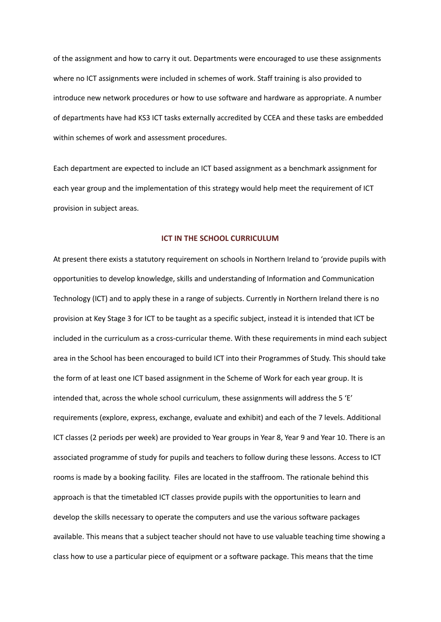of the assignment and how to carry it out. Departments were encouraged to use these assignments where no ICT assignments were included in schemes of work. Staff training is also provided to introduce new network procedures or how to use software and hardware as appropriate. A number of departments have had KS3 ICT tasks externally accredited by CCEA and these tasks are embedded within schemes of work and assessment procedures.

Each department are expected to include an ICT based assignment as a benchmark assignment for each year group and the implementation of this strategy would help meet the requirement of ICT provision in subject areas.

### **ICT IN THE SCHOOL CURRICULUM**

At present there exists a statutory requirement on schools in Northern Ireland to 'provide pupils with opportunities to develop knowledge, skills and understanding of Information and Communication Technology (ICT) and to apply these in a range of subjects. Currently in Northern Ireland there is no provision at Key Stage 3 for ICT to be taught as a specific subject, instead it is intended that ICT be included in the curriculum as a cross-curricular theme. With these requirements in mind each subject area in the School has been encouraged to build ICT into their Programmes of Study. This should take the form of at least one ICT based assignment in the Scheme of Work for each year group. It is intended that, across the whole school curriculum, these assignments will address the 5 'E' requirements (explore, express, exchange, evaluate and exhibit) and each of the 7 levels. Additional ICT classes (2 periods per week) are provided to Year groups in Year 8, Year 9 and Year 10. There is an associated programme of study for pupils and teachers to follow during these lessons. Access to ICT rooms is made by a booking facility. Files are located in the staffroom. The rationale behind this approach is that the timetabled ICT classes provide pupils with the opportunities to learn and develop the skills necessary to operate the computers and use the various software packages available. This means that a subject teacher should not have to use valuable teaching time showing a class how to use a particular piece of equipment or a software package. This means that the time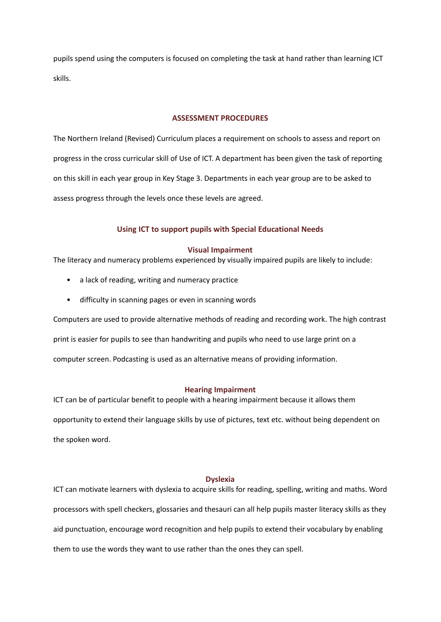pupils spend using the computers is focused on completing the task at hand rather than learning ICT skills.

# **ASSESSMENT PROCEDURES**

The Northern Ireland (Revised) Curriculum places a requirement on schools to assess and report on progress in the cross curricular skill of Use of ICT. A department has been given the task of reporting on this skill in each year group in Key Stage 3. Departments in each year group are to be asked to assess progress through the levels once these levels are agreed.

# **Using ICT to support pupils with Special Educational Needs**

# **Visual Impairment**

The literacy and numeracy problems experienced by visually impaired pupils are likely to include:

- a lack of reading, writing and numeracy practice
- difficulty in scanning pages or even in scanning words

Computers are used to provide alternative methods of reading and recording work. The high contrast print is easier for pupils to see than handwriting and pupils who need to use large print on a computer screen. Podcasting is used as an alternative means of providing information.

### **Hearing Impairment**

ICT can be of particular benefit to people with a hearing impairment because it allows them opportunity to extend their language skills by use of pictures, text etc. without being dependent on the spoken word.

### **Dyslexia**

ICT can motivate learners with dyslexia to acquire skills for reading, spelling, writing and maths. Word processors with spell checkers, glossaries and thesauri can all help pupils master literacy skills as they aid punctuation, encourage word recognition and help pupils to extend their vocabulary by enabling them to use the words they want to use rather than the ones they can spell.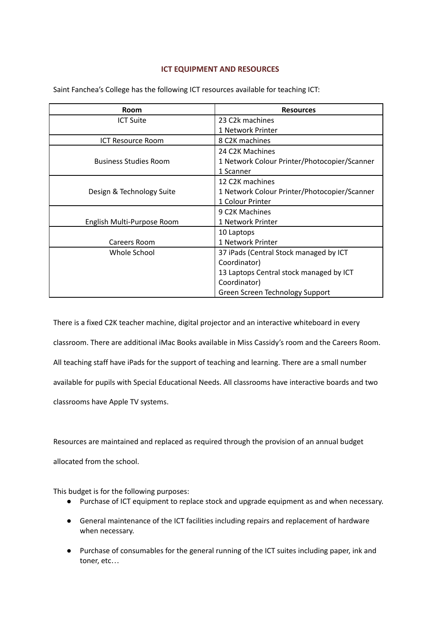# **ICT EQUIPMENT AND RESOURCES**

| <b>Room</b>                  | <b>Resources</b>                             |  |
|------------------------------|----------------------------------------------|--|
| <b>ICT Suite</b>             | 23 C2k machines                              |  |
|                              | 1 Network Printer                            |  |
| <b>ICT Resource Room</b>     | 8 C2K machines                               |  |
|                              | 24 C2K Machines                              |  |
| <b>Business Studies Room</b> | 1 Network Colour Printer/Photocopier/Scanner |  |
|                              | 1 Scanner                                    |  |
|                              | 12 C2K machines                              |  |
| Design & Technology Suite    | 1 Network Colour Printer/Photocopier/Scanner |  |
|                              | 1 Colour Printer                             |  |
|                              | 9 C2K Machines                               |  |
| English Multi-Purpose Room   | 1 Network Printer                            |  |
|                              | 10 Laptops                                   |  |
| Careers Room                 | 1 Network Printer                            |  |
| Whole School                 | 37 iPads (Central Stock managed by ICT       |  |
|                              | Coordinator)                                 |  |
|                              | 13 Laptops Central stock managed by ICT      |  |
|                              | Coordinator)                                 |  |
|                              | Green Screen Technology Support              |  |

Saint Fanchea's College has the following ICT resources available for teaching ICT:

There is a fixed C2K teacher machine, digital projector and an interactive whiteboard in every classroom. There are additional iMac Books available in Miss Cassidy's room and the Careers Room. All teaching staff have iPads for the support of teaching and learning. There are a small number available for pupils with Special Educational Needs. All classrooms have interactive boards and two classrooms have Apple TV systems.

Resources are maintained and replaced as required through the provision of an annual budget allocated from the school.

This budget is for the following purposes:

- Purchase of ICT equipment to replace stock and upgrade equipment as and when necessary.
- General maintenance of the ICT facilities including repairs and replacement of hardware when necessary.
- Purchase of consumables for the general running of the ICT suites including paper, ink and toner, etc…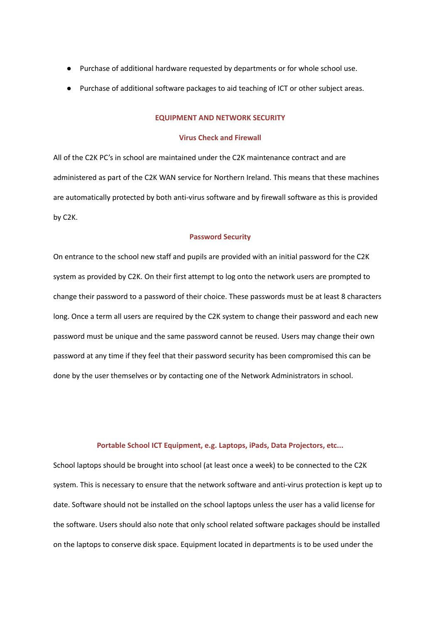- Purchase of additional hardware requested by departments or for whole school use.
- Purchase of additional software packages to aid teaching of ICT or other subject areas.

### **EQUIPMENT AND NETWORK SECURITY**

### **Virus Check and Firewall**

All of the C2K PC's in school are maintained under the C2K maintenance contract and are administered as part of the C2K WAN service for Northern Ireland. This means that these machines are automatically protected by both anti-virus software and by firewall software as this is provided by C2K.

### **Password Security**

On entrance to the school new staff and pupils are provided with an initial password for the C2K system as provided by C2K. On their first attempt to log onto the network users are prompted to change their password to a password of their choice. These passwords must be at least 8 characters long. Once a term all users are required by the C2K system to change their password and each new password must be unique and the same password cannot be reused. Users may change their own password at any time if they feel that their password security has been compromised this can be done by the user themselves or by contacting one of the Network Administrators in school.

#### **Portable School ICT Equipment, e.g. Laptops, iPads, Data Projectors, etc...**

School laptops should be brought into school (at least once a week) to be connected to the C2K system. This is necessary to ensure that the network software and anti-virus protection is kept up to date. Software should not be installed on the school laptops unless the user has a valid license for the software. Users should also note that only school related software packages should be installed on the laptops to conserve disk space. Equipment located in departments is to be used under the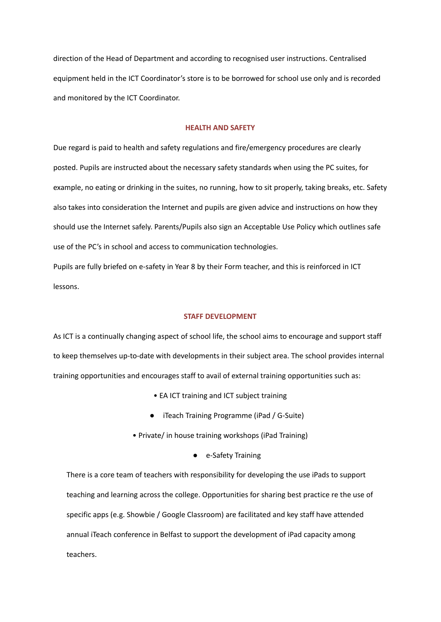direction of the Head of Department and according to recognised user instructions. Centralised equipment held in the ICT Coordinator's store is to be borrowed for school use only and is recorded and monitored by the ICT Coordinator.

### **HEALTH AND SAFETY**

Due regard is paid to health and safety regulations and fire/emergency procedures are clearly posted. Pupils are instructed about the necessary safety standards when using the PC suites, for example, no eating or drinking in the suites, no running, how to sit properly, taking breaks, etc. Safety also takes into consideration the Internet and pupils are given advice and instructions on how they should use the Internet safely. Parents/Pupils also sign an Acceptable Use Policy which outlines safe use of the PC's in school and access to communication technologies.

Pupils are fully briefed on e-safety in Year 8 by their Form teacher, and this is reinforced in ICT lessons.

### **STAFF DEVELOPMENT**

As ICT is a continually changing aspect of school life, the school aims to encourage and support staff to keep themselves up-to-date with developments in their subject area. The school provides internal training opportunities and encourages staff to avail of external training opportunities such as:

- EA ICT training and ICT subject training
- iTeach Training Programme (iPad / G-Suite)
- Private/ in house training workshops (iPad Training)
	- e-Safety Training

There is a core team of teachers with responsibility for developing the use iPads to support teaching and learning across the college. Opportunities for sharing best practice re the use of specific apps (e.g. Showbie / Google Classroom) are facilitated and key staff have attended annual iTeach conference in Belfast to support the development of iPad capacity among teachers.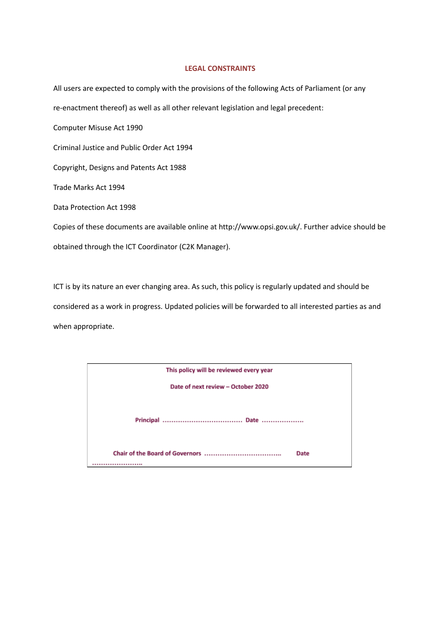## **LEGAL CONSTRAINTS**

All users are expected to comply with the provisions of the following Acts of Parliament (or any re-enactment thereof) as well as all other relevant legislation and legal precedent: Computer Misuse Act 1990 Criminal Justice and Public Order Act 1994 Copyright, Designs and Patents Act 1988 Trade Marks Act 1994 Data Protection Act 1998 Copies of these documents are available online at http://www.opsi.gov.uk/. Further advice should be obtained through the ICT Coordinator (C2K Manager).

ICT is by its nature an ever changing area. As such, this policy is regularly updated and should be considered as a work in progress. Updated policies will be forwarded to all interested parties as and when appropriate.

| This policy will be reviewed every year |      |  |
|-----------------------------------------|------|--|
| Date of next review - October 2020      |      |  |
|                                         |      |  |
|                                         | Date |  |
|                                         |      |  |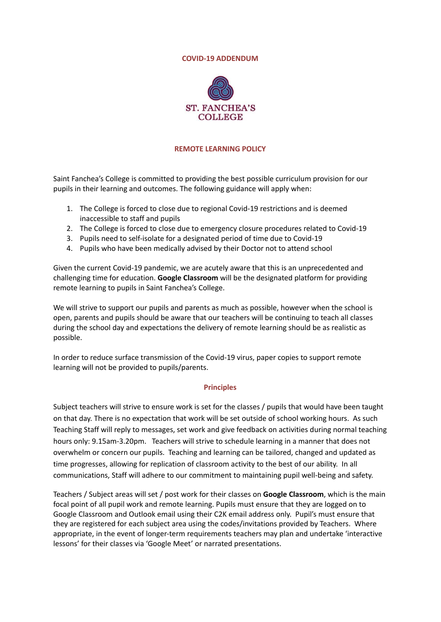### **COVID-19 ADDENDUM**



# **REMOTE LEARNING POLICY**

Saint Fanchea's College is committed to providing the best possible curriculum provision for our pupils in their learning and outcomes. The following guidance will apply when:

- 1. The College is forced to close due to regional Covid-19 restrictions and is deemed inaccessible to staff and pupils
- 2. The College is forced to close due to emergency closure procedures related to Covid-19
- 3. Pupils need to self-isolate for a designated period of time due to Covid-19
- 4. Pupils who have been medically advised by their Doctor not to attend school

Given the current Covid-19 pandemic, we are acutely aware that this is an unprecedented and challenging time for education. **Google Classroom** will be the designated platform for providing remote learning to pupils in Saint Fanchea's College.

We will strive to support our pupils and parents as much as possible, however when the school is open, parents and pupils should be aware that our teachers will be continuing to teach all classes during the school day and expectations the delivery of remote learning should be as realistic as possible.

In order to reduce surface transmission of the Covid-19 virus, paper copies to support remote learning will not be provided to pupils/parents.

# **Principles**

Subject teachers will strive to ensure work is set for the classes / pupils that would have been taught on that day. There is no expectation that work will be set outside of school working hours. As such Teaching Staff will reply to messages, set work and give feedback on activities during normal teaching hours only: 9.15am-3.20pm. Teachers will strive to schedule learning in a manner that does not overwhelm or concern our pupils. Teaching and learning can be tailored, changed and updated as time progresses, allowing for replication of classroom activity to the best of our ability. In all communications, Staff will adhere to our commitment to maintaining pupil well-being and safety.

Teachers / Subject areas will set / post work for their classes on **Google Classroom**, which is the main focal point of all pupil work and remote learning. Pupils must ensure that they are logged on to Google Classroom and Outlook email using their C2K email address only. Pupil's must ensure that they are registered for each subject area using the codes/invitations provided by Teachers. Where appropriate, in the event of longer-term requirements teachers may plan and undertake 'interactive lessons' for their classes via 'Google Meet' or narrated presentations.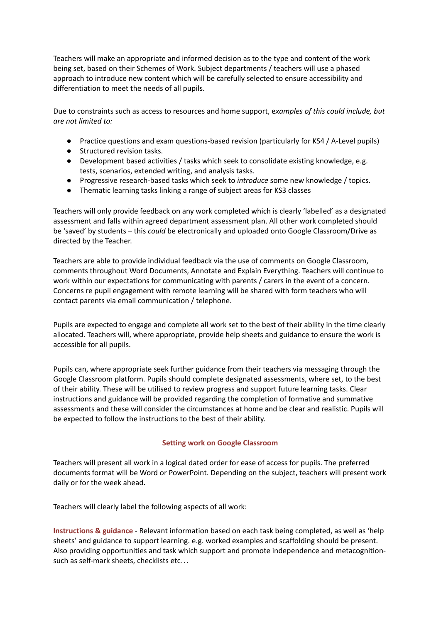Teachers will make an appropriate and informed decision as to the type and content of the work being set, based on their Schemes of Work. Subject departments / teachers will use a phased approach to introduce new content which will be carefully selected to ensure accessibility and differentiation to meet the needs of all pupils.

Due to constraints such as access to resources and home support, e*xamples of this could include, but are not limited to:*

- Practice questions and exam questions-based revision (particularly for KS4 / A-Level pupils)
- Structured revision tasks.
- Development based activities / tasks which seek to consolidate existing knowledge, e.g. tests, scenarios, extended writing, and analysis tasks.
- Progressive research-based tasks which seek to *introduce* some new knowledge / topics.
- Thematic learning tasks linking a range of subject areas for KS3 classes

Teachers will only provide feedback on any work completed which is clearly 'labelled' as a designated assessment and falls within agreed department assessment plan. All other work completed should be 'saved' by students – this *could* be electronically and uploaded onto Google Classroom/Drive as directed by the Teacher.

Teachers are able to provide individual feedback via the use of comments on Google Classroom, comments throughout Word Documents, Annotate and Explain Everything. Teachers will continue to work within our expectations for communicating with parents / carers in the event of a concern. Concerns re pupil engagement with remote learning will be shared with form teachers who will contact parents via email communication / telephone.

Pupils are expected to engage and complete all work set to the best of their ability in the time clearly allocated. Teachers will, where appropriate, provide help sheets and guidance to ensure the work is accessible for all pupils.

Pupils can, where appropriate seek further guidance from their teachers via messaging through the Google Classroom platform. Pupils should complete designated assessments, where set, to the best of their ability. These will be utilised to review progress and support future learning tasks. Clear instructions and guidance will be provided regarding the completion of formative and summative assessments and these will consider the circumstances at home and be clear and realistic. Pupils will be expected to follow the instructions to the best of their ability.

# **Setting work on Google Classroom**

Teachers will present all work in a logical dated order for ease of access for pupils. The preferred documents format will be Word or PowerPoint. Depending on the subject, teachers will present work daily or for the week ahead.

Teachers will clearly label the following aspects of all work:

**Instructions & guidance** - Relevant information based on each task being completed, as well as 'help sheets' and guidance to support learning. e.g. worked examples and scaffolding should be present. Also providing opportunities and task which support and promote independence and metacognitionsuch as self-mark sheets, checklists etc…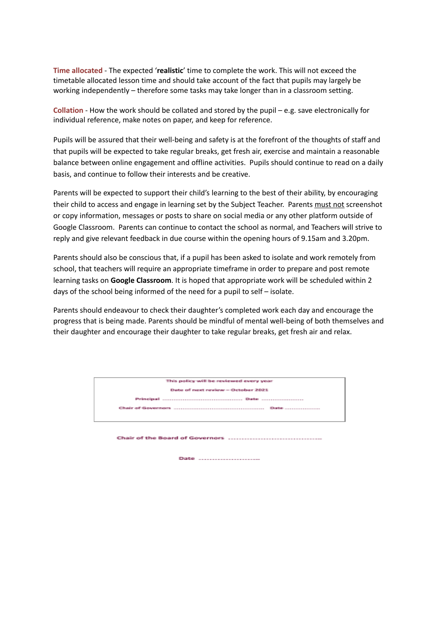**Time allocated** - The expected '**realistic**' time to complete the work. This will not exceed the timetable allocated lesson time and should take account of the fact that pupils may largely be working independently – therefore some tasks may take longer than in a classroom setting.

**Collation** - How the work should be collated and stored by the pupil – e.g. save electronically for individual reference, make notes on paper, and keep for reference.

Pupils will be assured that their well-being and safety is at the forefront of the thoughts of staff and that pupils will be expected to take regular breaks, get fresh air, exercise and maintain a reasonable balance between online engagement and offline activities. Pupils should continue to read on a daily basis, and continue to follow their interests and be creative.

Parents will be expected to support their child's learning to the best of their ability, by encouraging their child to access and engage in learning set by the Subject Teacher. Parents must not screenshot or copy information, messages or posts to share on social media or any other platform outside of Google Classroom. Parents can continue to contact the school as normal, and Teachers will strive to reply and give relevant feedback in due course within the opening hours of 9.15am and 3.20pm.

Parents should also be conscious that, if a pupil has been asked to isolate and work remotely from school, that teachers will require an appropriate timeframe in order to prepare and post remote learning tasks on **Google Classroom**. It is hoped that appropriate work will be scheduled within 2 days of the school being informed of the need for a pupil to self – isolate.

Parents should endeavour to check their daughter's completed work each day and encourage the progress that is being made. Parents should be mindful of mental well-being of both themselves and their daughter and encourage their daughter to take regular breaks, get fresh air and relax.

| This policy will be reviewed every year<br>Date of next review - October 2021 |  |  |
|-------------------------------------------------------------------------------|--|--|
|                                                                               |  |  |
|                                                                               |  |  |
|                                                                               |  |  |
|                                                                               |  |  |
|                                                                               |  |  |
|                                                                               |  |  |
|                                                                               |  |  |